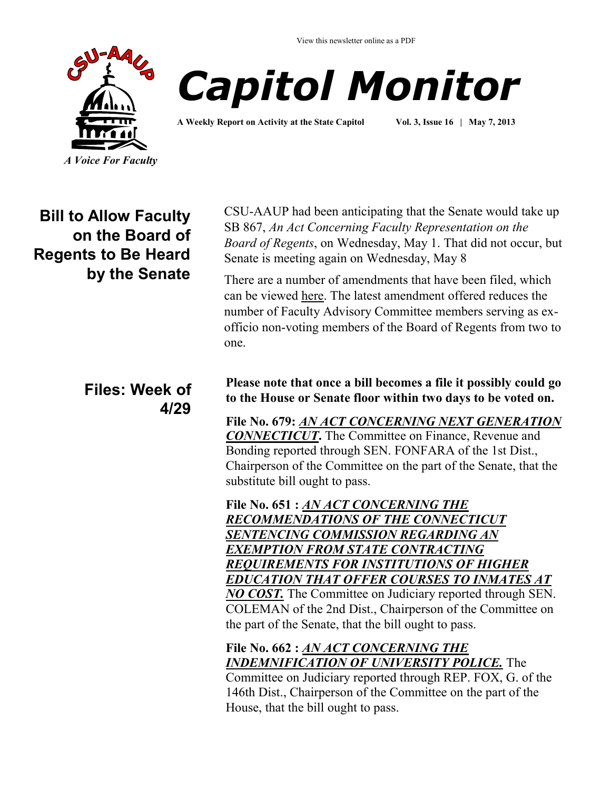View this newsletter online as a PDF





**A Weekly Report on Activity at the State Capitol Vol. 3, Issue 16 | May 7, 2013**

**Bill to Allow Faculty on the Board of Regents to Be Heard by the Senate**

### **Files: Week of 4/29**

CSU-AAUP had been anticipating that the Senate would take up SB 867, *An Act Concerning Faculty Representation on the Board of Regents*, on Wednesday, May 1. That did not occur, but Senate is meeting again on Wednesday, May 8

There are a number of amendments that have been filed, which can be viewed [here.](http://www.cga.ct.gov/asp/cgabillstatus/cgabillstatus.asp?selBillType=Bill&bill_num=867&which_year=2013&SUBMIT1.x=-643&SUBMIT1.y=0&SUBMIT1=Normal) The latest amendment offered reduces the number of Faculty Advisory Committee members serving as exofficio non-voting members of the Board of Regents from two to one.

**Please note that once a bill becomes a file it possibly could go to the House or Senate floor within two days to be voted on.**

**File No. 679:** *[AN ACT CONCERNING NEXT GENERATION](http://www.cga.ct.gov/asp/cgabillstatus/cgabillstatus.asp?selBillType=File+Copy&bill_num=679&which_year=2013&SUBMIT1.x=-643&SUBMIT1.y=0&SUBMIT1=Normal)  [CONNECTICUT](http://www.cga.ct.gov/asp/cgabillstatus/cgabillstatus.asp?selBillType=File+Copy&bill_num=679&which_year=2013&SUBMIT1.x=-643&SUBMIT1.y=0&SUBMIT1=Normal)***.** The Committee on Finance, Revenue and Bonding reported through SEN. FONFARA of the 1st Dist., Chairperson of the Committee on the part of the Senate, that the substitute bill ought to pass.

**File No. 651 :** *[AN ACT CONCERNING THE](http://www.cga.ct.gov/asp/cgabillstatus/cgabillstatus.asp?selBillType=File+Copy&bill_num=651&which_year=2013&SUBMIT1.x=-643&SUBMIT1.y=0&SUBMIT1=Normal)  [RECOMMENDATIONS OF THE CONNECTICUT](http://www.cga.ct.gov/asp/cgabillstatus/cgabillstatus.asp?selBillType=File+Copy&bill_num=651&which_year=2013&SUBMIT1.x=-643&SUBMIT1.y=0&SUBMIT1=Normal)  [SENTENCING COMMISSION REGARDING AN](http://www.cga.ct.gov/asp/cgabillstatus/cgabillstatus.asp?selBillType=File+Copy&bill_num=651&which_year=2013&SUBMIT1.x=-643&SUBMIT1.y=0&SUBMIT1=Normal)  [EXEMPTION FROM STATE CONTRACTING](http://www.cga.ct.gov/asp/cgabillstatus/cgabillstatus.asp?selBillType=File+Copy&bill_num=651&which_year=2013&SUBMIT1.x=-643&SUBMIT1.y=0&SUBMIT1=Normal)  [REQUIREMENTS FOR INSTITUTIONS OF HIGHER](http://www.cga.ct.gov/asp/cgabillstatus/cgabillstatus.asp?selBillType=File+Copy&bill_num=651&which_year=2013&SUBMIT1.x=-643&SUBMIT1.y=0&SUBMIT1=Normal)  [EDUCATION THAT OFFER COURSES TO INMATES AT](http://www.cga.ct.gov/asp/cgabillstatus/cgabillstatus.asp?selBillType=File+Copy&bill_num=651&which_year=2013&SUBMIT1.x=-643&SUBMIT1.y=0&SUBMIT1=Normal)  [NO COST.](http://www.cga.ct.gov/asp/cgabillstatus/cgabillstatus.asp?selBillType=File+Copy&bill_num=651&which_year=2013&SUBMIT1.x=-643&SUBMIT1.y=0&SUBMIT1=Normal)* The Committee on Judiciary reported through SEN. COLEMAN of the 2nd Dist., Chairperson of the Committee on the part of the Senate, that the bill ought to pass.

**File No. 662 :** *[AN ACT CONCERNING THE](http://www.cga.ct.gov/asp/cgabillstatus/cgabillstatus.asp?selBillType=File+Copy&bill_num=662&which_year=2013&SUBMIT1.x=-643&SUBMIT1.y=0&SUBMIT1=Normal)  [INDEMNIFICATION OF UNIVERSITY POLICE.](http://www.cga.ct.gov/asp/cgabillstatus/cgabillstatus.asp?selBillType=File+Copy&bill_num=662&which_year=2013&SUBMIT1.x=-643&SUBMIT1.y=0&SUBMIT1=Normal)* The

Committee on Judiciary reported through REP. FOX, G. of the 146th Dist., Chairperson of the Committee on the part of the House, that the bill ought to pass.